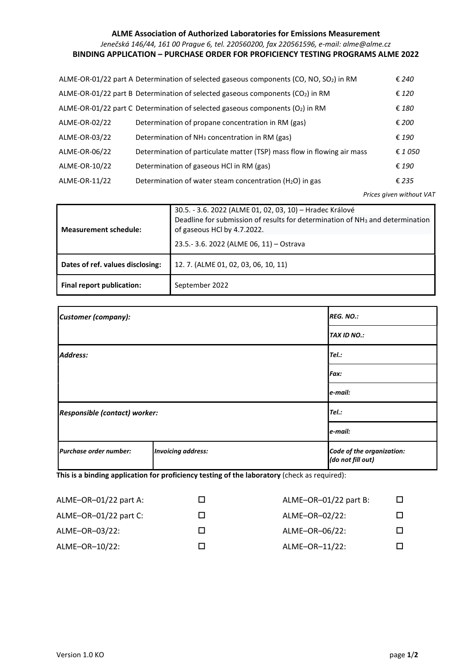## ALME Association of Authorized Laboratories for Emissions Measurement Jenečská 146/44, 161 00 Prague 6, tel. 220560200, fax 220561596, e-mail: alme@alme.cz BINDING APPLICATION – PURCHASE ORDER FOR PROFICIENCY TESTING PROGRAMS ALME 2022

|               | ALME-OR-01/22 part A Determination of selected gaseous components (CO, NO, SO <sub>2</sub> ) in RM | € 240   |
|---------------|----------------------------------------------------------------------------------------------------|---------|
|               | ALME-OR-01/22 part B Determination of selected gaseous components (CO <sub>2</sub> ) in RM         | € 120   |
|               | ALME-OR-01/22 part C Determination of selected gaseous components (O2) in RM                       | € 180   |
| ALME-OR-02/22 | Determination of propane concentration in RM (gas)                                                 | € 200   |
| ALME-OR-03/22 | Determination of $NH3$ concentration in RM (gas)                                                   | € 190   |
| ALME-OR-06/22 | Determination of particulate matter (TSP) mass flow in flowing air mass                            | € 1 050 |
| ALME-OR-10/22 | Determination of gaseous HCl in RM (gas)                                                           | € 190   |
| ALME-OR-11/22 | Determination of water steam concentration $(H_2O)$ in gas                                         | € 235   |
|               |                                                                                                    |         |

Prices given without VAT

| <b>Measurement schedule:</b>     | 30.5. - 3.6. 2022 (ALME 01, 02, 03, 10) - Hradec Králové<br>Deadline for submission of results for determination of NH <sub>3</sub> and determination<br>of gaseous HCl by 4.7.2022.<br>23.5.-3.6. 2022 (ALME 06, 11) - Ostrava |  |
|----------------------------------|---------------------------------------------------------------------------------------------------------------------------------------------------------------------------------------------------------------------------------|--|
| Dates of ref. values disclosing: | 12.7. (ALME 01, 02, 03, 06, 10, 11)                                                                                                                                                                                             |  |
| Final report publication:        | September 2022                                                                                                                                                                                                                  |  |

| Customer (company):           |                           | <b>REG. NO.:</b>                               |
|-------------------------------|---------------------------|------------------------------------------------|
|                               |                           | <b>TAX ID NO.:</b>                             |
| <b>Address:</b>               |                           | Tel.:                                          |
|                               |                           | Fax:                                           |
|                               |                           | e-mail:                                        |
| Responsible (contact) worker: | Tel.:                     |                                                |
|                               |                           | e-mail:                                        |
| Purchase order number:        | <b>Invoicing address:</b> | Code of the organization:<br>(do not fill out) |

This is a binding application for proficiency testing of the laboratory (check as required):

| ALME-OR-01/22 part B: |  |
|-----------------------|--|
| ALME-OR-02/22:        |  |
| ALME-OR-06/22:        |  |
| ALME-OR-11/22:        |  |
|                       |  |